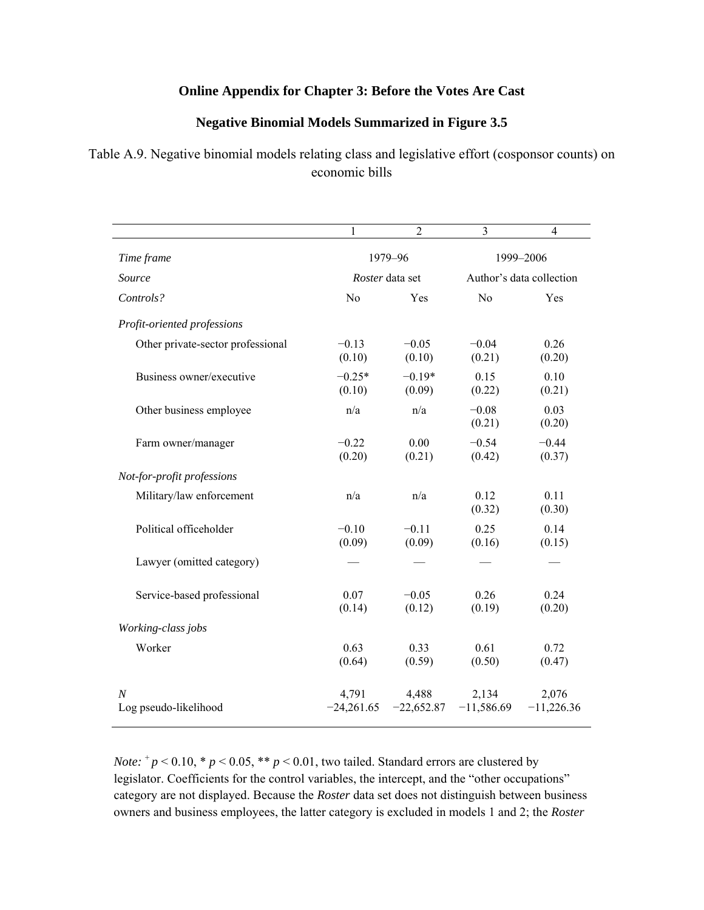### **Online Appendix for Chapter 3: Before the Votes Are Cast**

#### **Negative Binomial Models Summarized in Figure 3.5**

## Table A.9. Negative binomial models relating class and legislative effort (cosponsor counts) on economic bills

|                                   | 1                     | $\overline{2}$        | 3                        | $\overline{4}$        |
|-----------------------------------|-----------------------|-----------------------|--------------------------|-----------------------|
| Time frame                        | 1979-96               |                       | 1999-2006                |                       |
| Source                            | Roster data set       |                       | Author's data collection |                       |
| Controls?                         | N <sub>0</sub>        | Yes                   | N <sub>o</sub>           | Yes                   |
| Profit-oriented professions       |                       |                       |                          |                       |
| Other private-sector professional | $-0.13$<br>(0.10)     | $-0.05$<br>(0.10)     | $-0.04$<br>(0.21)        | 0.26<br>(0.20)        |
| Business owner/executive          | $-0.25*$<br>(0.10)    | $-0.19*$<br>(0.09)    | 0.15<br>(0.22)           | 0.10<br>(0.21)        |
| Other business employee           | n/a                   | n/a                   | $-0.08$<br>(0.21)        | 0.03<br>(0.20)        |
| Farm owner/manager                | $-0.22$<br>(0.20)     | 0.00<br>(0.21)        | $-0.54$<br>(0.42)        | $-0.44$<br>(0.37)     |
| Not-for-profit professions        |                       |                       |                          |                       |
| Military/law enforcement          | n/a                   | n/a                   | 0.12<br>(0.32)           | 0.11<br>(0.30)        |
| Political officeholder            | $-0.10$<br>(0.09)     | $-0.11$<br>(0.09)     | 0.25<br>(0.16)           | 0.14<br>(0.15)        |
| Lawyer (omitted category)         |                       |                       |                          |                       |
| Service-based professional        | 0.07<br>(0.14)        | $-0.05$<br>(0.12)     | 0.26<br>(0.19)           | 0.24<br>(0.20)        |
| Working-class jobs                |                       |                       |                          |                       |
| Worker                            | 0.63<br>(0.64)        | 0.33<br>(0.59)        | 0.61<br>(0.50)           | 0.72<br>(0.47)        |
| N<br>Log pseudo-likelihood        | 4,791<br>$-24,261.65$ | 4,488<br>$-22,652.87$ | 2,134<br>$-11,586.69$    | 2,076<br>$-11,226.36$ |

*Note:*  $^{\circ}p$  < 0.10,  $^{\circ}p$  < 0.05,  $^{\ast}p$  < 0.01, two tailed. Standard errors are clustered by legislator. Coefficients for the control variables, the intercept, and the "other occupations" category are not displayed. Because the *Roster* data set does not distinguish between business owners and business employees, the latter category is excluded in models 1 and 2; the *Roster*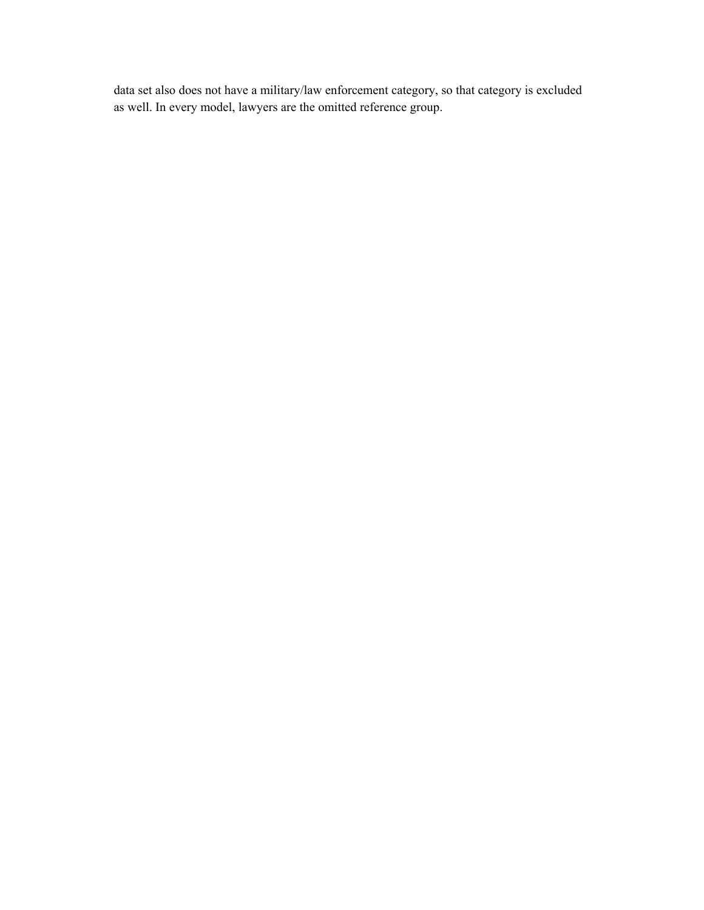data set also does not have a military/law enforcement category, so that category is excluded as well. In every model, lawyers are the omitted reference group.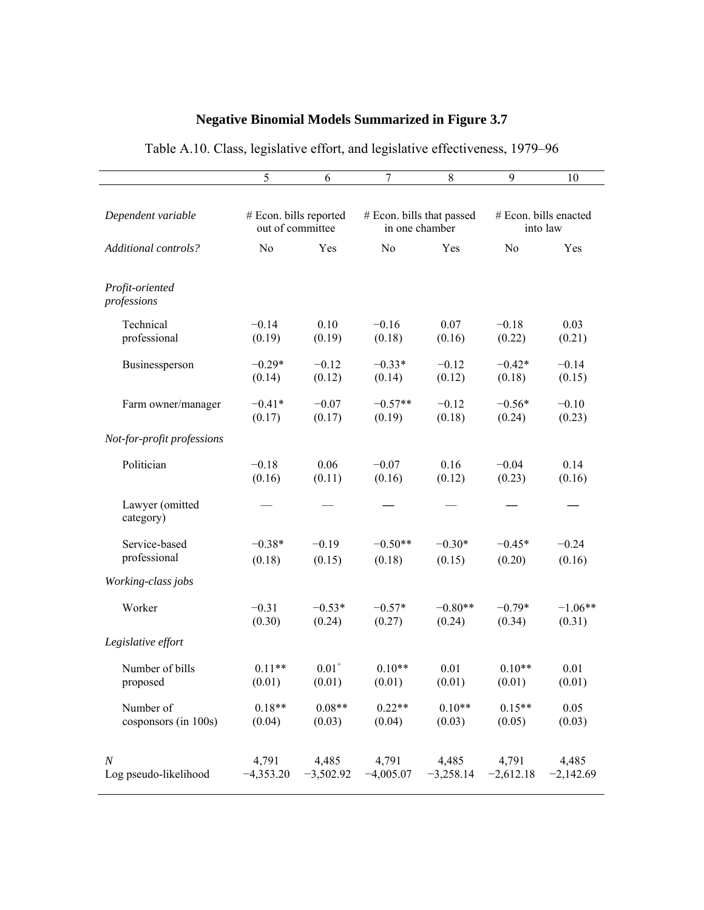# **Negative Binomial Models Summarized in Figure 3.7**

|                                           | 5                      | 6          | 7                         | 8                                                        | 9                     | 10                   |
|-------------------------------------------|------------------------|------------|---------------------------|----------------------------------------------------------|-----------------------|----------------------|
| Dependent variable                        | # Econ. bills reported |            | # Econ. bills that passed |                                                          | # Econ. bills enacted |                      |
|                                           | out of committee       |            | in one chamber            |                                                          | into law              |                      |
| Additional controls?                      | N <sub>0</sub>         | Yes        | No                        | Yes                                                      | N <sub>o</sub>        | Yes                  |
| Profit-oriented<br>professions            |                        |            |                           |                                                          |                       |                      |
| Technical                                 | $-0.14$                | 0.10       | $-0.16$                   | 0.07                                                     | $-0.18$               | 0.03                 |
| professional                              | (0.19)                 | (0.19)     | (0.18)                    | (0.16)                                                   | (0.22)                | (0.21)               |
| Businessperson                            | $-0.29*$               | $-0.12$    | $-0.33*$                  | $-0.12$                                                  | $-0.42*$              | $-0.14$              |
|                                           | (0.14)                 | (0.12)     | (0.14)                    | (0.12)                                                   | (0.18)                | (0.15)               |
| Farm owner/manager                        | $-0.41*$               | $-0.07$    | $-0.57**$                 | $-0.12$                                                  | $-0.56*$              | $-0.10$              |
|                                           | (0.17)                 | (0.17)     | (0.19)                    | (0.18)                                                   | (0.24)                | (0.23)               |
| Not-for-profit professions                |                        |            |                           |                                                          |                       |                      |
| Politician                                | $-0.18$                | 0.06       | $-0.07$                   | 0.16                                                     | $-0.04$               | 0.14                 |
|                                           | (0.16)                 | (0.11)     | (0.16)                    | (0.12)                                                   | (0.23)                | (0.16)               |
| Lawyer (omitted<br>category)              |                        |            |                           |                                                          |                       |                      |
| Service-based                             | $-0.38*$               | $-0.19$    | $-0.50**$                 | $-0.30*$                                                 | $-0.45*$              | $-0.24$              |
| professional                              | (0.18)                 | (0.15)     | (0.18)                    | (0.15)                                                   | (0.20)                | (0.16)               |
| Working-class jobs                        |                        |            |                           |                                                          |                       |                      |
| Worker                                    | $-0.31$                | $-0.53*$   | $-0.57*$                  | $-0.80**$                                                | $-0.79*$              | $-1.06**$            |
|                                           | (0.30)                 | (0.24)     | (0.27)                    | (0.24)                                                   | (0.34)                | (0.31)               |
| Legislative effort                        |                        |            |                           |                                                          |                       |                      |
| Number of bills                           | $0.11**$               | $0.01^{+}$ | $0.10**$                  | 0.01                                                     | $0.10**$              | 0.01                 |
| proposed                                  | (0.01)                 | (0.01)     | (0.01)                    | (0.01)                                                   | (0.01)                | (0.01)               |
| Number of                                 | $0.18**$               | $0.08**$   | $0.22**$                  | $0.10**$                                                 | $0.15**$              | 0.05                 |
| cosponsors (in 100s)                      | (0.04)                 | (0.03)     | (0.04)                    | (0.03)                                                   | (0.05)                | (0.03)               |
| $\boldsymbol{N}$<br>Log pseudo-likelihood | 4,791<br>$-4,353.20$   |            | 4,485 4,791               | 4,485<br>$-3,502.92$ $-4,005.07$ $-3,258.14$ $-2,612.18$ | 4,791                 | 4,485<br>$-2,142.69$ |

# Table A.10. Class, legislative effort, and legislative effectiveness, 1979–96